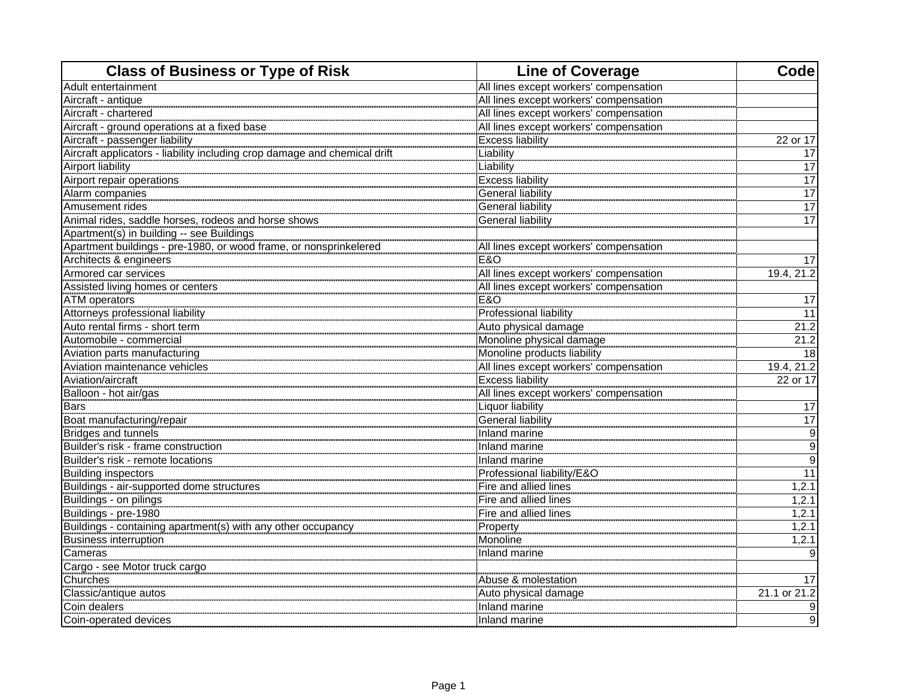| <b>Class of Business or Type of Risk</b>                                  | <b>Line of Coverage</b>                | Code             |
|---------------------------------------------------------------------------|----------------------------------------|------------------|
| Adult entertainment                                                       | All lines except workers' compensation |                  |
| Aircraft - antique                                                        | All lines except workers' compensation |                  |
| Aircraft - chartered                                                      | All lines except workers' compensation |                  |
| Aircraft - ground operations at a fixed base                              | All lines except workers' compensation |                  |
| Aircraft - passenger liability                                            | <b>Excess liability</b>                | 22 or 17         |
| Aircraft applicators - liability including crop damage and chemical drift | Liability                              | 17               |
| <b>Airport liability</b>                                                  | Liability                              | $\overline{17}$  |
| Airport repair operations                                                 | <b>Excess liability</b>                | 17               |
| Alarm companies                                                           | <b>General liability</b>               | $\overline{17}$  |
| Amusement rides                                                           | <b>General liability</b>               | 17               |
| Animal rides, saddle horses, rodeos and horse shows                       | <b>General liability</b>               | 17               |
| Apartment(s) in building -- see Buildings                                 |                                        |                  |
| Apartment buildings - pre-1980, or wood frame, or nonsprinkelered         | All lines except workers' compensation |                  |
| Architects & engineers                                                    | <b>E&amp;O</b>                         | 17               |
| Armored car services                                                      | All lines except workers' compensation | 19.4, 21.2       |
| Assisted living homes or centers                                          | All lines except workers' compensation |                  |
| <b>ATM</b> operators                                                      | <b>E&amp;O</b>                         | 17               |
| Attorneys professional liability                                          | <b>Professional liability</b>          | 11               |
| Auto rental firms - short term                                            | Auto physical damage                   | 21.2             |
| Automobile - commercial                                                   | Monoline physical damage               | 21.2             |
| Aviation parts manufacturing                                              | Monoline products liability            | 18               |
| Aviation maintenance vehicles                                             | All lines except workers' compensation | 19.4, 21.2       |
| Aviation/aircraft                                                         | <b>Excess liability</b>                | 22 or 17         |
| Balloon - hot air/gas                                                     | All lines except workers' compensation |                  |
| <b>Bars</b>                                                               | <b>Liquor liability</b>                | $\overline{17}$  |
| Boat manufacturing/repair                                                 | <b>General liability</b>               | 17               |
| Bridges and tunnels                                                       | Inland marine                          | $\boldsymbol{9}$ |
| Builder's risk - frame construction                                       | Inland marine                          | $\overline{9}$   |
| Builder's risk - remote locations                                         | Inland marine                          | $\overline{9}$   |
| <b>Building inspectors</b>                                                | Professional liability/E&O             | $\overline{11}$  |
| Buildings - air-supported dome structures                                 | Fire and allied lines                  | 1, 2.1           |
| Buildings - on pilings                                                    | Fire and allied lines                  | 1, 2.1           |
| Buildings - pre-1980                                                      | Fire and allied lines                  | 1,2.1            |
| Buildings - containing apartment(s) with any other occupancy              | Property                               | 1,2.1            |
| <b>Business interruption</b>                                              | Monoline                               | 1, 2.1           |
| Cameras                                                                   | Inland marine                          | 9                |
| Cargo - see Motor truck cargo                                             |                                        |                  |
| Churches                                                                  | Abuse & molestation                    | 17               |
| Classic/antique autos                                                     | Auto physical damage                   | 21.1 or 21.2     |
| Coin dealers                                                              | Inland marine                          | 9                |
| Coin-operated devices                                                     | Inland marine                          | 9                |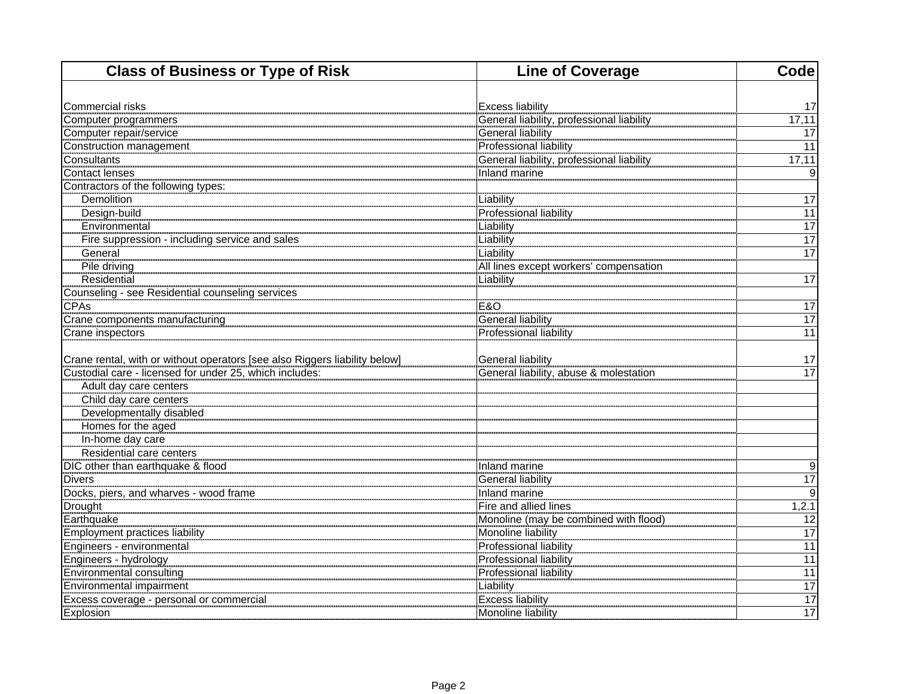| <b>Class of Business or Type of Risk</b>                                   | <b>Line of Coverage</b>                   | Code            |
|----------------------------------------------------------------------------|-------------------------------------------|-----------------|
|                                                                            |                                           |                 |
| <b>Commercial risks</b>                                                    | <b>Excess liability</b>                   | 17              |
| Computer programmers                                                       | General liability, professional liability | 17,11           |
| Computer repair/service                                                    | General liability                         | 17              |
| Construction management                                                    | <b>Professional liability</b>             | 11              |
| Consultants                                                                | General liability, professional liability | 17,11           |
| <b>Contact lenses</b>                                                      | Inland marine                             | 9               |
| Contractors of the following types:                                        |                                           |                 |
| Demolition                                                                 | Liability<br>Professional liability       | $\overline{17}$ |
| Design-build                                                               |                                           | 11              |
| Environmental                                                              | Liability                                 | $\overline{17}$ |
| Fire suppression - including service and sales                             | Liability                                 | $\overline{17}$ |
| General                                                                    | Liability                                 | 17              |
| Pile driving                                                               | All lines except workers' compensation    |                 |
| Residential                                                                | Liability                                 | 17              |
| Counseling - see Residential counseling services                           |                                           |                 |
| <b>CPAs</b>                                                                | <b>E&amp;O</b>                            | $\overline{17}$ |
| Crane components manufacturing                                             | <b>General liability</b>                  | $\overline{17}$ |
| Crane inspectors                                                           | <b>Professional liability</b>             | 11              |
| Crane rental, with or without operators [see also Riggers liability below] | <b>General liability</b>                  | 17              |
| Custodial care - licensed for under 25, which includes:                    | General liability, abuse & molestation    | 17              |
| Adult day care centers                                                     |                                           |                 |
| Child day care centers                                                     |                                           |                 |
| Developmentally disabled                                                   |                                           |                 |
| Homes for the aged                                                         |                                           |                 |
| In-home day care                                                           |                                           |                 |
| Residential care centers                                                   |                                           |                 |
| DIC other than earthquake & flood                                          | Inland marine                             | 9               |
| <b>Divers</b>                                                              | <b>General liability</b>                  | $\overline{17}$ |
| Docks, piers, and wharves - wood frame                                     | Inland marine                             | 9               |
| Drought                                                                    | Fire and allied lines                     | 1,2.1           |
| Earthquake                                                                 | Monoline (may be combined with flood)     | 12              |
|                                                                            | Monoline liability                        | $\overline{17}$ |
| Engineers - environmental                                                  | <b>Professional liability</b>             | $\overline{11}$ |
| Engineers - hydrology                                                      | <b>Professional liability</b>             | $\overline{11}$ |
| Environmental consulting                                                   | <b>Professional liability</b>             | 11              |
| Environmental impairment                                                   | Liability                                 | 17              |
| Excess coverage - personal or commercial                                   | <b>Excess liability</b>                   | $\overline{17}$ |
| Explosion                                                                  | Monoline liability                        | 17              |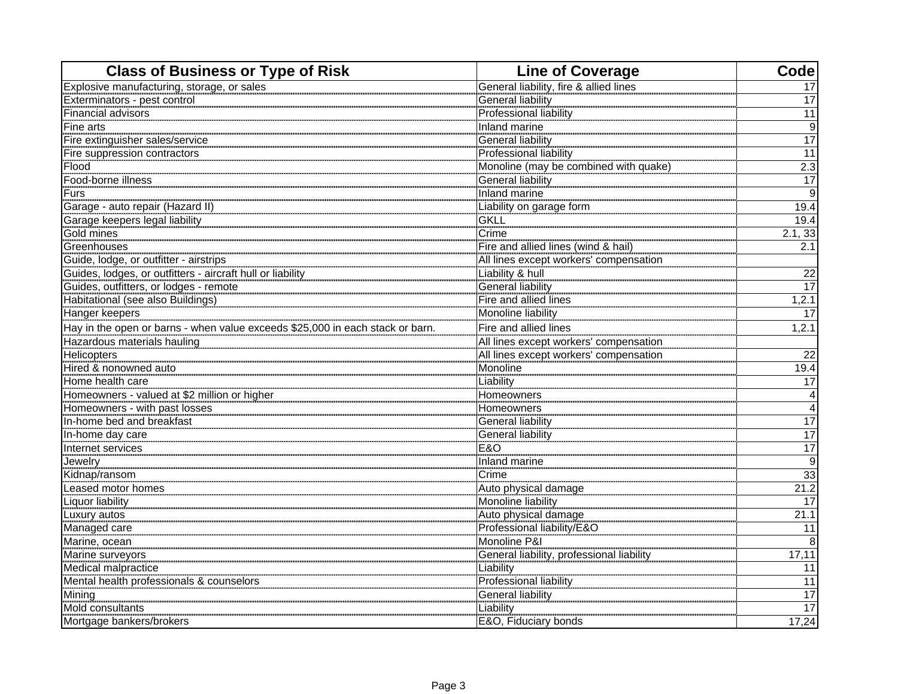| <b>Class of Business or Type of Risk</b>                                      | <b>Line of Coverage</b>                   | Codel                   |
|-------------------------------------------------------------------------------|-------------------------------------------|-------------------------|
| Explosive manufacturing, storage, or sales                                    | General liability, fire & allied lines    | 17                      |
| Exterminators - pest control                                                  | General liability                         | 17                      |
| Financial advisors                                                            | <b>Professional liability</b>             | 11                      |
| Fine arts                                                                     | Inland marine                             | $\overline{9}$          |
| Fire extinguisher sales/service                                               | <b>General liability</b>                  | $\overline{17}$         |
| Fire suppression contractors                                                  | <b>Professional liability</b>             | 11                      |
| Flood                                                                         | Monoline (may be combined with quake)     | 2.3                     |
| Food-borne illness                                                            | <b>General liability</b>                  | $\overline{17}$         |
| Furs                                                                          | Inland marine                             | Θ                       |
| Garage - auto repair (Hazard II)                                              | Liability on garage form                  | 19.4                    |
| Garage keepers legal liability                                                | GKLL                                      | 19.4                    |
| Gold mines                                                                    | Crime                                     | 2.1, 33                 |
| Greenhouses                                                                   | Fire and allied lines (wind & hail)       | 2.1                     |
| Guide, lodge, or outfitter - airstrips                                        | All lines except workers' compensation    |                         |
| Guides, lodges, or outfitters - aircraft hull or liability                    | Liability & hull                          | 22                      |
| Guides, outfitters, or lodges - remote                                        | General liability                         | $\overline{17}$         |
| Habitational (see also Buildings)                                             | Fire and allied lines                     | 1, 2.1                  |
| Hanger keepers                                                                | Monoline liability                        | 17                      |
| Hay in the open or barns - when value exceeds \$25,000 in each stack or barn. | Fire and allied lines                     | 1, 2.1                  |
| Hazardous materials hauling                                                   | All lines except workers' compensation    |                         |
| Helicopters                                                                   | All lines except workers' compensation    | 22                      |
| Hired & nonowned auto                                                         | Monoline                                  | 19.4                    |
| Home health care                                                              | Liability                                 | 17                      |
| Homeowners - valued at \$2 million or higher                                  | Homeowners                                | 4                       |
| Homeowners - with past losses                                                 | Homeowners                                | $\overline{\mathbf{A}}$ |
| In-home bed and breakfast                                                     | General liability                         | $\overline{17}$         |
| In-home day care                                                              | <b>General liability</b>                  | 17                      |
| Internet services                                                             | <b>E&amp;O</b>                            | $\overline{17}$         |
|                                                                               | Inland marine                             | $\overline{9}$          |
| Kidnap/ransom                                                                 | Crime                                     | 33                      |
| Leased motor homes                                                            | Auto physical damage                      | 21.2                    |
| Liquor liability                                                              | Monoline liability                        | 17                      |
| Luxury autos                                                                  | Auto physical damage                      | 21.1                    |
| Managed care                                                                  | Professional liability/E&O                | 11                      |
| Marine, ocean                                                                 | Monoline P&I                              | 8                       |
| Marine surveyors                                                              | General liability, professional liability | 17,11                   |
| Medical malpractice                                                           | Liability                                 | 11                      |
| Mental health professionals & counselors                                      | Professional liability                    | 11                      |
| Mining                                                                        | <b>General liability</b>                  | 17                      |
| Mold consultants                                                              | Liability                                 | $\overline{17}$         |
| Mortgage bankers/brokers                                                      | E&O, Fiduciary bonds                      | 17,24                   |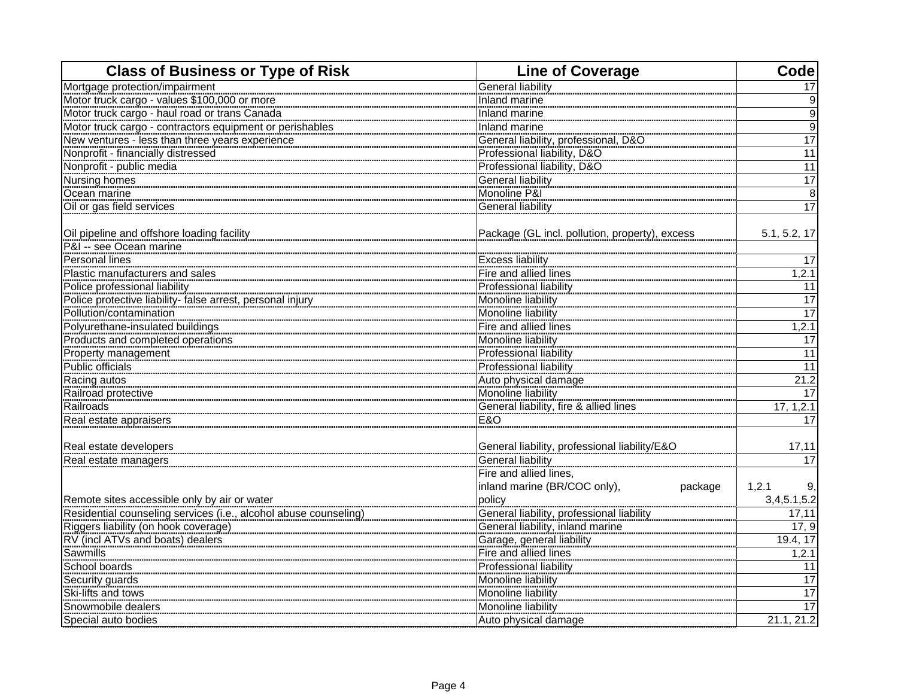| <b>Class of Business or Type of Risk</b>                         | <b>Line of Coverage</b>                        | Code             |
|------------------------------------------------------------------|------------------------------------------------|------------------|
| Mortgage protection/impairment                                   | General liability                              | 17               |
| Motor truck cargo - values \$100,000 or more                     | Inland marine                                  | $\boldsymbol{9}$ |
| Motor truck cargo - haul road or trans Canada                    | Inland marine                                  | $\overline{9}$   |
| Motor truck cargo - contractors equipment or perishables         | Inland marine                                  | $\overline{9}$   |
| New ventures - less than three years experience                  | General liability, professional, D&O           | $\overline{17}$  |
| Nonprofit - financially distressed                               | Professional liability, D&O                    | 11               |
| Nonprofit - public media                                         | Professional liability, D&O                    | $\overline{11}$  |
| <b>Nursing homes</b>                                             | General liability                              | $\overline{17}$  |
| Ocean marine                                                     | Monoline P&I                                   | 8                |
| Oil or gas field services                                        | General liability                              | 17               |
|                                                                  |                                                |                  |
| Oil pipeline and offshore loading facility                       | Package (GL incl. pollution, property), excess | 5.1, 5.2, 17     |
| P&I -- see Ocean marine                                          |                                                |                  |
| Personal lines                                                   | <b>Excess liability</b>                        | 17               |
| Plastic manufacturers and sales                                  | Fire and allied lines                          | 1, 2.1           |
| Police professional liability                                    | Professional liability                         | 11               |
| Police protective liability- false arrest, personal injury       | Monoline liability                             | 17               |
| Pollution/contamination                                          | Monoline liability                             | 17               |
| Polyurethane-insulated buildings                                 | Fire and allied lines                          | 1,2.1            |
| Products and completed operations                                | Monoline liability                             | 17               |
| Property management                                              | Professional liability                         | 11               |
| Public officials                                                 | Professional liability                         | 11               |
| Racing autos                                                     | Auto physical damage                           | 21.2             |
| Railroad protective                                              | Monoline liability                             | $\overline{17}$  |
| Railroads                                                        | General liability, fire & allied lines         | 17, 1, 2.1       |
| Real estate appraisers                                           | <b>E&amp;O</b>                                 | 17               |
|                                                                  |                                                |                  |
| Real estate developers                                           | General liability, professional liability/E&O  | 17,11            |
| Real estate managers                                             | General liability                              | 17               |
|                                                                  | Fire and allied lines,                         |                  |
|                                                                  | inland marine (BR/COC only),<br>package        | 1,2.1<br>9.      |
| Remote sites accessible only by air or water                     | policy                                         | 3,4,5.1,5.2      |
| Residential counseling services (i.e., alcohol abuse counseling) | General liability, professional liability      | 17,11            |
| Riggers liability (on hook coverage)                             | General liability, inland marine               | 17, 9            |
| RV (incl ATVs and boats) dealers                                 | Garage, general liability                      | 19.4, 17         |
| Sawmills                                                         | Fire and allied lines                          | 1, 2.1           |
| School boards                                                    | Professional liability                         | 11               |
| Security guards                                                  | Monoline liability                             | 17               |
| Ski-lifts and tows                                               | Monoline liability                             | $\overline{17}$  |
| Snowmobile dealers                                               | Monoline liability                             | 17               |
| Special auto bodies                                              | Auto physical damage                           | 21.1, 21.2       |